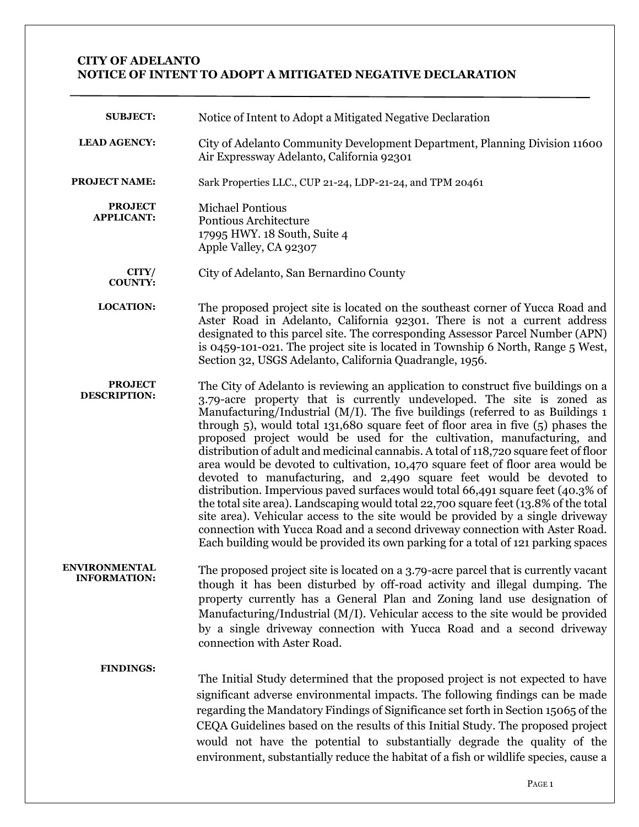## **CITY OF ADELANTO NOTICE OF INTENT TO ADOPT A MITIGATED NEGATIVE DECLARATION**

| <b>SUBJECT:</b>                       | Notice of Intent to Adopt a Mitigated Negative Declaration                                                                                                                                                                                                                                                                                                                                                                                                                                                                                                                                                                                                                                                                                                                                                                                                                                                                                                                                                                                                                                                  |
|---------------------------------------|-------------------------------------------------------------------------------------------------------------------------------------------------------------------------------------------------------------------------------------------------------------------------------------------------------------------------------------------------------------------------------------------------------------------------------------------------------------------------------------------------------------------------------------------------------------------------------------------------------------------------------------------------------------------------------------------------------------------------------------------------------------------------------------------------------------------------------------------------------------------------------------------------------------------------------------------------------------------------------------------------------------------------------------------------------------------------------------------------------------|
| <b>LEAD AGENCY:</b>                   | City of Adelanto Community Development Department, Planning Division 11600<br>Air Expressway Adelanto, California 92301                                                                                                                                                                                                                                                                                                                                                                                                                                                                                                                                                                                                                                                                                                                                                                                                                                                                                                                                                                                     |
| <b>PROJECT NAME:</b>                  | Sark Properties LLC., CUP 21-24, LDP-21-24, and TPM 20461                                                                                                                                                                                                                                                                                                                                                                                                                                                                                                                                                                                                                                                                                                                                                                                                                                                                                                                                                                                                                                                   |
| <b>PROJECT</b><br><b>APPLICANT:</b>   | <b>Michael Pontious</b><br>Pontious Architecture<br>17995 HWY. 18 South, Suite 4<br>Apple Valley, CA 92307                                                                                                                                                                                                                                                                                                                                                                                                                                                                                                                                                                                                                                                                                                                                                                                                                                                                                                                                                                                                  |
| CITY/<br><b>COUNTY:</b>               | City of Adelanto, San Bernardino County                                                                                                                                                                                                                                                                                                                                                                                                                                                                                                                                                                                                                                                                                                                                                                                                                                                                                                                                                                                                                                                                     |
| <b>LOCATION:</b>                      | The proposed project site is located on the southeast corner of Yucca Road and<br>Aster Road in Adelanto, California 92301. There is not a current address<br>designated to this parcel site. The corresponding Assessor Parcel Number (APN)<br>is 0459-101-021. The project site is located in Township 6 North, Range 5 West,<br>Section 32, USGS Adelanto, California Quadrangle, 1956.                                                                                                                                                                                                                                                                                                                                                                                                                                                                                                                                                                                                                                                                                                                  |
| <b>PROJECT</b><br><b>DESCRIPTION:</b> | The City of Adelanto is reviewing an application to construct five buildings on a<br>3.79-acre property that is currently undeveloped. The site is zoned as<br>Manufacturing/Industrial ( $M/I$ ). The five buildings (referred to as Buildings 1<br>through $5$ ), would total 131,680 square feet of floor area in five $(5)$ phases the<br>proposed project would be used for the cultivation, manufacturing, and<br>distribution of adult and medicinal cannabis. A total of 118,720 square feet of floor<br>area would be devoted to cultivation, 10,470 square feet of floor area would be<br>devoted to manufacturing, and 2,490 square feet would be devoted to<br>distribution. Impervious paved surfaces would total 66,491 square feet (40.3% of<br>the total site area). Landscaping would total 22,700 square feet (13.8% of the total<br>site area). Vehicular access to the site would be provided by a single driveway<br>connection with Yucca Road and a second driveway connection with Aster Road.<br>Each building would be provided its own parking for a total of 121 parking spaces |
| ENVIRONMENTAL<br><b>INFORMATION:</b>  | The proposed project site is located on a 3.79-acre parcel that is currently vacant<br>though it has been disturbed by off-road activity and illegal dumping. The<br>property currently has a General Plan and Zoning land use designation of<br>Manufacturing/Industrial ( $M/I$ ). Vehicular access to the site would be provided<br>by a single driveway connection with Yucca Road and a second driveway<br>connection with Aster Road.                                                                                                                                                                                                                                                                                                                                                                                                                                                                                                                                                                                                                                                                 |
| <b>FINDINGS:</b>                      | The Initial Study determined that the proposed project is not expected to have<br>significant adverse environmental impacts. The following findings can be made<br>regarding the Mandatory Findings of Significance set forth in Section 15065 of the<br>CEQA Guidelines based on the results of this Initial Study. The proposed project<br>would not have the potential to substantially degrade the quality of the<br>environment, substantially reduce the habitat of a fish or wildlife species, cause a                                                                                                                                                                                                                                                                                                                                                                                                                                                                                                                                                                                               |
|                                       | PAGE 1                                                                                                                                                                                                                                                                                                                                                                                                                                                                                                                                                                                                                                                                                                                                                                                                                                                                                                                                                                                                                                                                                                      |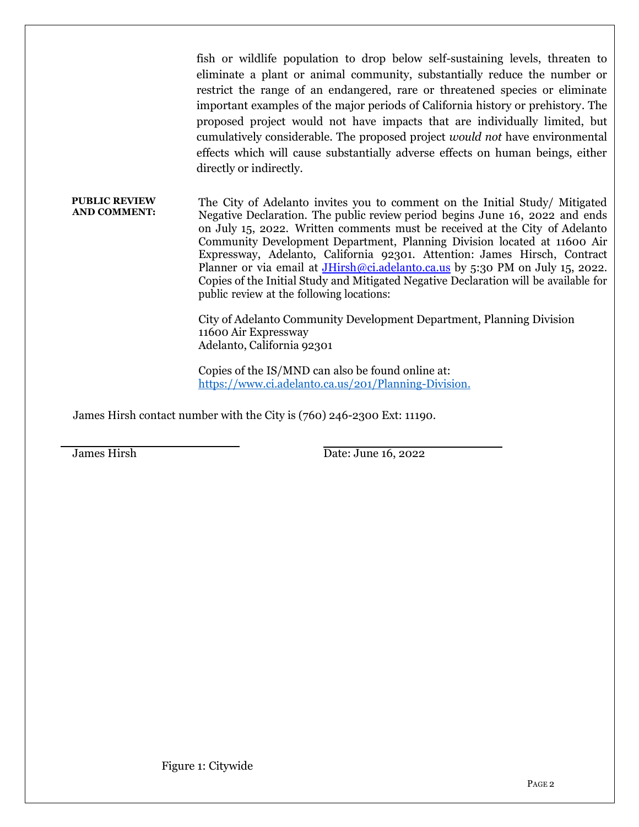fish or wildlife population to drop below self-sustaining levels, threaten to eliminate a plant or animal community, substantially reduce the number or restrict the range of an endangered, rare or threatened species or eliminate important examples of the major periods of California history or prehistory. The proposed project would not have impacts that are individually limited, but cumulatively considerable. The proposed project *would not* have environmental effects which will cause substantially adverse effects on human beings, either directly or indirectly.

**PUBLIC REVIEW AND COMMENT:** The City of Adelanto invites you to comment on the Initial Study/ Mitigated Negative Declaration. The public review period begins June 16, 2022 and ends on July 15, 2022. Written comments must be received at the City of Adelanto Community Development Department, Planning Division located at 11600 Air Expressway, Adelanto, California 92301. Attention: James Hirsch, Contract Planner or via email at [JHirsh@ci.adelanto.ca.us](mailto:JHirsh@ci.adelanto.ca.us) by 5:30 PM on July 15, 2022. Copies of the Initial Study and Mitigated Negative Declaration will be available for public review at the following locations:

> City of Adelanto Community Development Department, Planning Division 11600 Air Expressway Adelanto, California 92301

Copies of the IS/MND can also be found online at: https:/[/www.ci.adelanto.ca.us/201/Planning-Division.](http://www.ci.adelanto.ca.us/201/Planning-Division)

James Hirsh contact number with the City is (760) 246-2300 Ext: 11190.

 $\overline{a}$ 

James Hirsh Date: June 16, 2022

Figure 1: Citywide